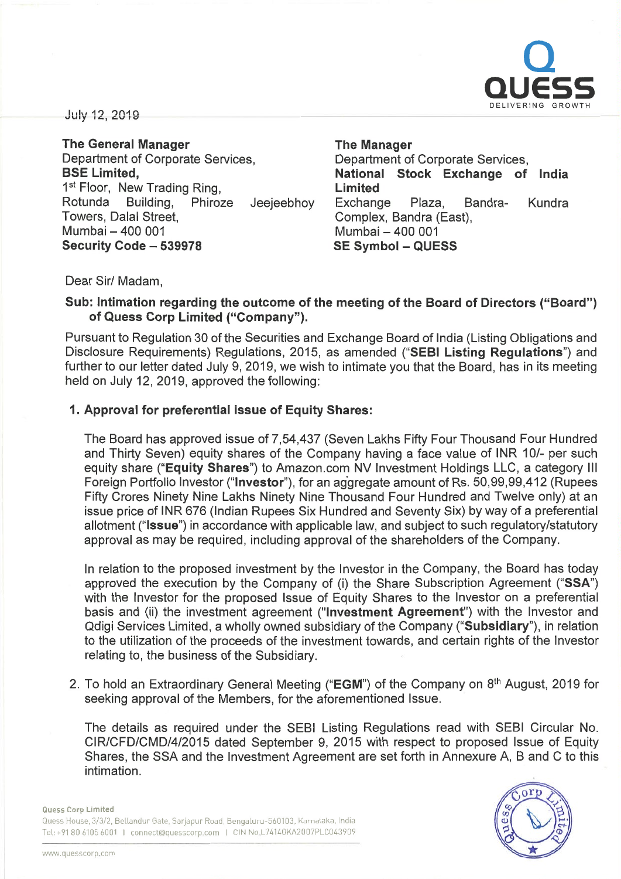

July 12, 2019

The General Manager Department of Corporate Services, BSE Limited, 1<sup>st</sup> Floor, New Trading Ring, Rotunda Building, Phiroze Jeejeebhoy Towers, Dalal Street, Mumbai - 400 001 Security Code - 539978

The Manager Department of Corporate Services, National Stock Exchange of India Limited Exchange Plaza, Sandra- Kundra Complex, Sandra (East), Mumbai - 400 001 SE Symbol - QUESS

Dear Sir/ Madam,

## Sub: Intimation regarding the outcome of the meeting of the Board of Directors ("Board") of Quess Corp Limited ("Company").

Pursuant to Regulation 30 of the Securities and Exchange Board of India (Listing Obligations and Disclosure Requirements) Regulations, 2015, as amended ("SEBI Listing Regulations") and further to our letter dated July 9, 2019, we wish to intimate you that the Board, has in its meeting held on July 12, 2019, approved the following:

### 1. Approval for preferential issue of Equity Shares:

The Board has approved issue of 7,54,437 (Seven Lakhs Fifty Four Thousand Four Hundred and Thirty Seven) equity shares of the Company having <sup>a</sup> face value of INR 10/- per such equity share ("Equity Shares") to Amazon.com NV Investment Holdings LLC, <sup>a</sup> category Ill Foreign Portfolio Investor ("Investor"), for an aggregate amount of Rs. 50,99,99,412 (Rupees Fifty Crores Ninety Nine Lakhs Ninety Nine Thousand Four Hundred and Twelve only) at an issue price of INR 676 (Indian Rupees Six Hundred and Seventy Six) by way of <sup>a</sup> preferential allotment ("Issue") in accordance with applicable law, and subject to such regulatory/statutory approval as may be required, including approval of the shareholders of the Company.

In relation to the proposed investment by the Investor in the Company, the Board has today approved the execution by the Company of (i) the Share Subscription Agreement ("SSA") with the Investor for the proposed Issue of Equity Shares to the Investor on <sup>a</sup> preferential basis and (ii) the investment agreement ("Investment Agreement") with the Investor and Qdigi Services Limited, <sup>a</sup> wholly owned subsidiary of the Company ("Subsidiary"), in relation to the utilization of the proceeds of the investment towards, and certain rights of the Investor relating to, the business of the Subsidiary.

2. To hold an Extraordinary General Meeting ("EGM") of the Company on 8<sup>th</sup> August, 2019 for seeking approval of the Members, for the aforementioned Issue.

The details as required under the SEBI Listing Regulations read with SEBI Circular No. CIR/CFD/CMD/4/2015 dated September 9, 2015 with respect to proposed Issue of Equity Shares, the SSA and the Investment Agreement are set forth in Annexure A, B and C to this intimation.



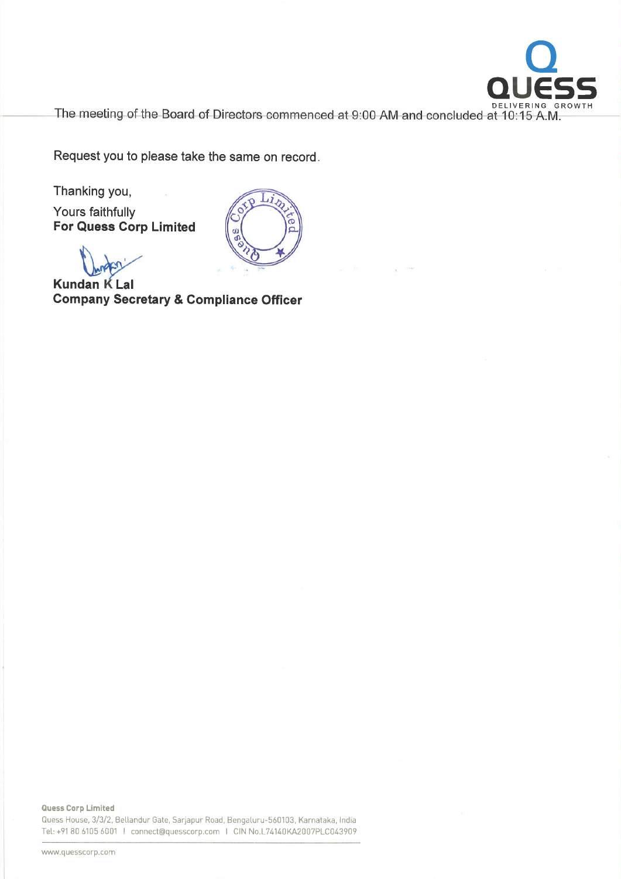

The meeting of the Board of Directors commenced at 9:00 AM and concluded at 10:15 A.M.

Request you to please take the same on record.

Thanking you,

Yours faithfully For Quess Corp Limited



Kundan K Lal Company Secretary & Compliance Officer

Quess Corp Limited Quess House, 3/3/2, Bellandur Gate, Sarjapur Road, Bengaluru-560103, Karnataka, India Tel: +91 BO 6105 6001 I connect@quesscorp.com I CIN No.L7414DKA2007PLC043909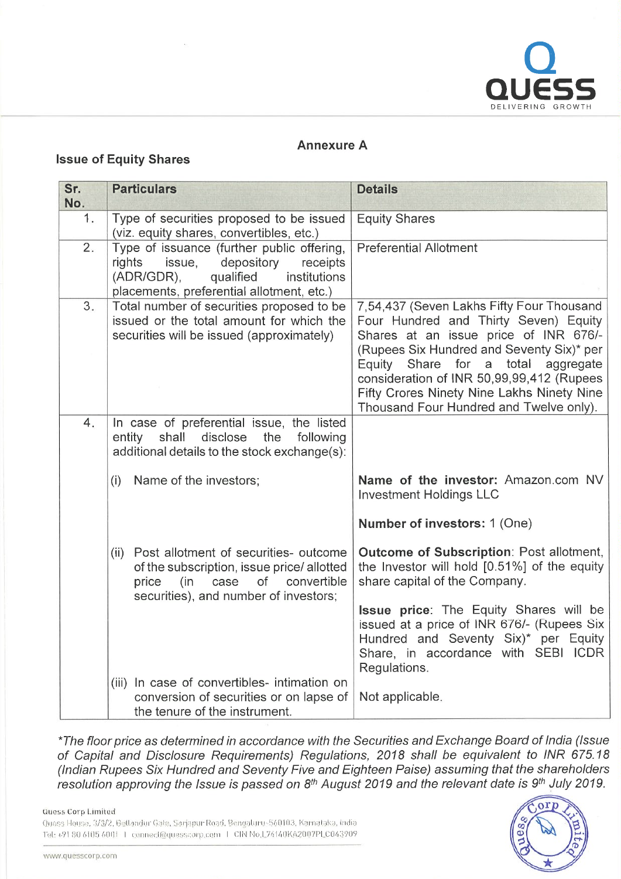

## Annexure A

## Issue of Equity Shares

| Sr.<br>No. | <b>Particulars</b>                                                                                                                                                                 | <b>Details</b>                                                                                                                                                                                                    |
|------------|------------------------------------------------------------------------------------------------------------------------------------------------------------------------------------|-------------------------------------------------------------------------------------------------------------------------------------------------------------------------------------------------------------------|
| 1.         | Type of securities proposed to be issued<br>(viz. equity shares, convertibles, etc.)                                                                                               | <b>Equity Shares</b>                                                                                                                                                                                              |
| 2.         | Type of issuance (further public offering,<br>rights<br>issue,<br>depository<br>receipts<br>institutions<br>(ADR/GDR),<br>qualified<br>placements, preferential allotment, etc.)   | <b>Preferential Allotment</b>                                                                                                                                                                                     |
| 3.         | Total number of securities proposed to be<br>issued or the total amount for which the<br>securities will be issued (approximately)                                                 | 7,54,437 (Seven Lakhs Fifty Four Thousand<br>Four Hundred and Thirty Seven) Equity<br>Shares at an issue price of INR 676/-<br>(Rupees Six Hundred and Seventy Six)* per<br>Equity Share for a total<br>aggregate |
|            |                                                                                                                                                                                    | consideration of INR 50,99,99,412 (Rupees<br>Fifty Crores Ninety Nine Lakhs Ninety Nine<br>Thousand Four Hundred and Twelve only).                                                                                |
| 4.         | In case of preferential issue, the listed<br>disclose<br>the<br>entity<br>shall<br>following<br>additional details to the stock exchange(s):                                       |                                                                                                                                                                                                                   |
|            | Name of the investors;<br>(i)                                                                                                                                                      | Name of the investor: Amazon.com NV<br><b>Investment Holdings LLC</b>                                                                                                                                             |
|            |                                                                                                                                                                                    | Number of investors: 1 (One)                                                                                                                                                                                      |
|            | Post allotment of securities- outcome<br>(ii)<br>of the subscription, issue price/allotted<br>price<br>(in<br>case<br>of a<br>convertible<br>securities), and number of investors; | <b>Outcome of Subscription: Post allotment,</b><br>the Investor will hold [0.51%] of the equity<br>share capital of the Company.                                                                                  |
|            |                                                                                                                                                                                    | <b>Issue price:</b> The Equity Shares will be<br>issued at a price of INR 676/- (Rupees Six<br>Hundred and Seventy Six)* per Equity<br>Share, in accordance with SEBI ICDR<br>Regulations.                        |
|            | (iii) In case of convertibles- intimation on<br>conversion of securities or on lapse of<br>the tenure of the instrument.                                                           | Not applicable.                                                                                                                                                                                                   |

\*The floor price as determined in accordance with the Securities and Exchange Board of India (Issue of Capital and Disclosure Requirements) Regulations, 2018 shall be equivalent to INR 675. (Indian Rupees Six Hundred and Seventy Five and Eighteen Paise) assuming that the shareho. resolution approving the Issue is passed on  $8<sup>th</sup>$  August 2019 and the relevant date is  $9<sup>th</sup>$  July 201

**Quess Corp Limited** 

Quess House, 3/3/2, Bettandur Gate, Sarjapur Road, Bengaluru-560103, Karnataka, India Tel: +91 80 6105 6001 | connect@quesscorp.com | CIN No.L74140KA2007PLC043909

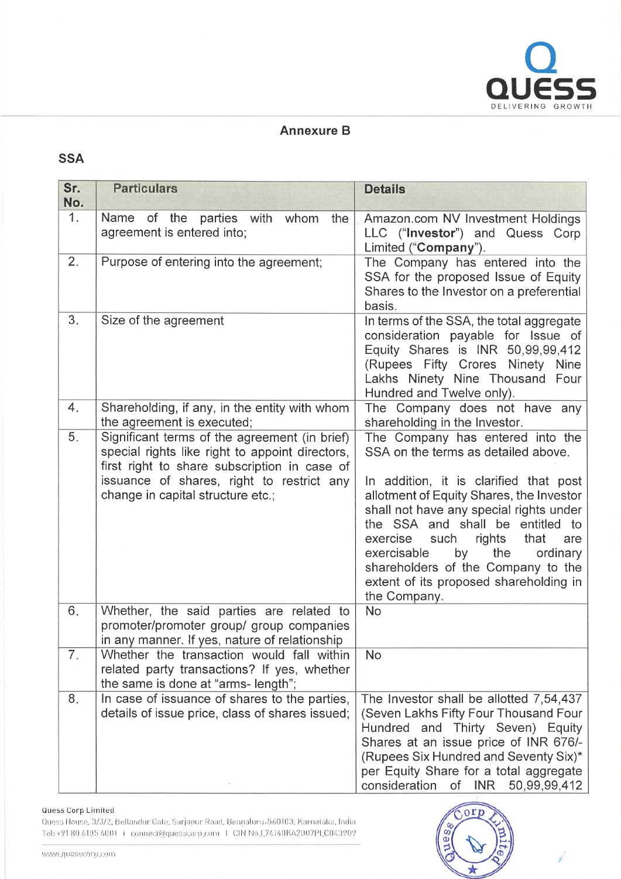

## Annexure B

# SSA

| Sr.<br>No. | <b>Particulars</b>                                                                                                                                                                                                                 | <b>Details</b>                                                                                                                                                                                                                                                                                                                                                                                                                    |
|------------|------------------------------------------------------------------------------------------------------------------------------------------------------------------------------------------------------------------------------------|-----------------------------------------------------------------------------------------------------------------------------------------------------------------------------------------------------------------------------------------------------------------------------------------------------------------------------------------------------------------------------------------------------------------------------------|
| 1.         | Name of the parties with whom<br>the<br>agreement is entered into;                                                                                                                                                                 | Amazon.com NV Investment Holdings<br>LLC ("Investor") and Quess Corp<br>Limited ("Company").                                                                                                                                                                                                                                                                                                                                      |
| 2.         | Purpose of entering into the agreement;                                                                                                                                                                                            | The Company has entered into the<br>SSA for the proposed Issue of Equity<br>Shares to the Investor on a preferential<br>basis.                                                                                                                                                                                                                                                                                                    |
| 3.         | Size of the agreement                                                                                                                                                                                                              | In terms of the SSA, the total aggregate<br>consideration payable for Issue of<br>Equity Shares is INR 50,99,99,412<br>(Rupees Fifty Crores Ninety Nine<br>Lakhs Ninety Nine Thousand Four<br>Hundred and Twelve only).                                                                                                                                                                                                           |
| 4.         | Shareholding, if any, in the entity with whom<br>the agreement is executed;                                                                                                                                                        | The Company does not have any<br>shareholding in the Investor.                                                                                                                                                                                                                                                                                                                                                                    |
| 5.         | Significant terms of the agreement (in brief)<br>special rights like right to appoint directors,<br>first right to share subscription in case of<br>issuance of shares, right to restrict any<br>change in capital structure etc.; | The Company has entered into the<br>SSA on the terms as detailed above.<br>In addition, it is clarified that post<br>allotment of Equity Shares, the Investor<br>shall not have any special rights under<br>the SSA and shall be entitled to<br>that<br>exercise<br>such<br>rights<br>are<br>the<br>exercisable<br>by<br>ordinary<br>shareholders of the Company to the<br>extent of its proposed shareholding in<br>the Company. |
| 6.         | Whether, the said parties are related to<br>promoter/promoter group/ group companies<br>in any manner. If yes, nature of relationship                                                                                              | <b>No</b>                                                                                                                                                                                                                                                                                                                                                                                                                         |
| 7.         | Whether the transaction would fall within<br>related party transactions? If yes, whether<br>the same is done at "arms-length";                                                                                                     | <b>No</b>                                                                                                                                                                                                                                                                                                                                                                                                                         |
| 8.         | In case of issuance of shares to the parties,<br>details of issue price, class of shares issued;                                                                                                                                   | The Investor shall be allotted 7,54,437<br>(Seven Lakhs Fifty Four Thousand Four<br>Hundred and Thirty Seven) Equity<br>Shares at an issue price of INR 676/-<br>(Rupees Six Hundred and Seventy Six)*<br>per Equity Share for a total aggregate<br>consideration<br>INR<br>50,99,99,412<br>0f                                                                                                                                    |

### **Quess Corp Limited**

Quess House, 3/3/2, Bellandur Gate, Sarjapur Road, Bengaluru-560103, Karnataka, India Tel: +91 80 6105 6001  $\pm$  connect@quesscorp.com  $\pm$  CIN No.L74140KA2007PLC043909

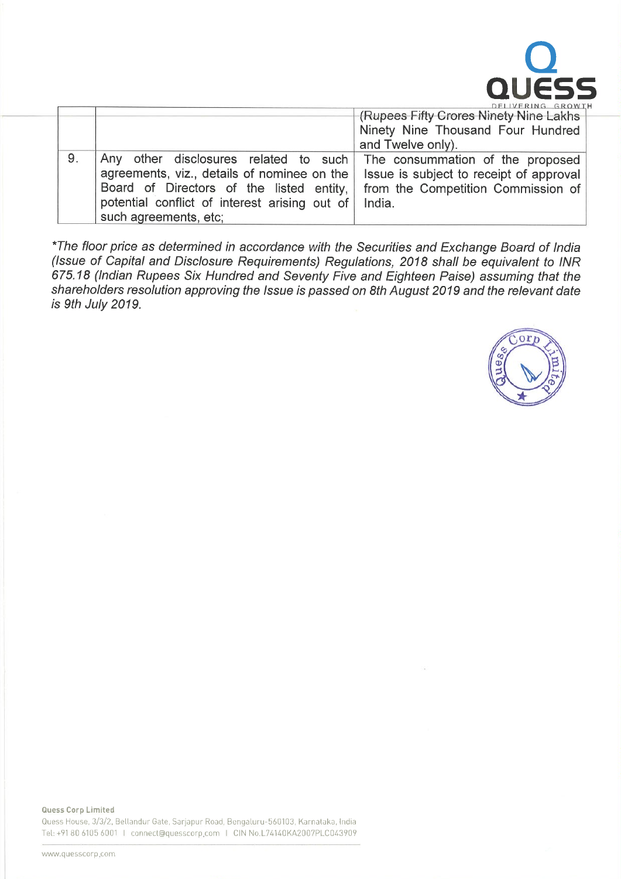

|    | DELIVERING GROWT                                                       |                                              |
|----|------------------------------------------------------------------------|----------------------------------------------|
|    |                                                                        | <b>Rupees Fifty Crores Ninety Nine Lakhs</b> |
|    |                                                                        | Ninety Nine Thousand Four Hundred            |
|    |                                                                        | and Twelve only).                            |
| 9. | Any other disclosures related to such The consummation of the proposed |                                              |
|    | agreements, viz., details of nominee on the                            | Issue is subject to receipt of approval      |
|    | Board of Directors of the listed entity,                               | from the Competition Commission of           |
|    | potential conflict of interest arising out of                          | India.                                       |
|    | such agreements, etc;                                                  |                                              |

\*The floor price as determined in accordance with the Securities and Exchange Board of India (Issue of Capital and Disclosure Requirements) Regulations, 2018 shall be equivalent to INR 675.18 (Indian Rupees Six Hundred and Seventy Five and Eighteen Paise) assuming that the shareholders resolution approving the Issue is passed on 8th August 2019 and the relevant date is 9th July 2019.

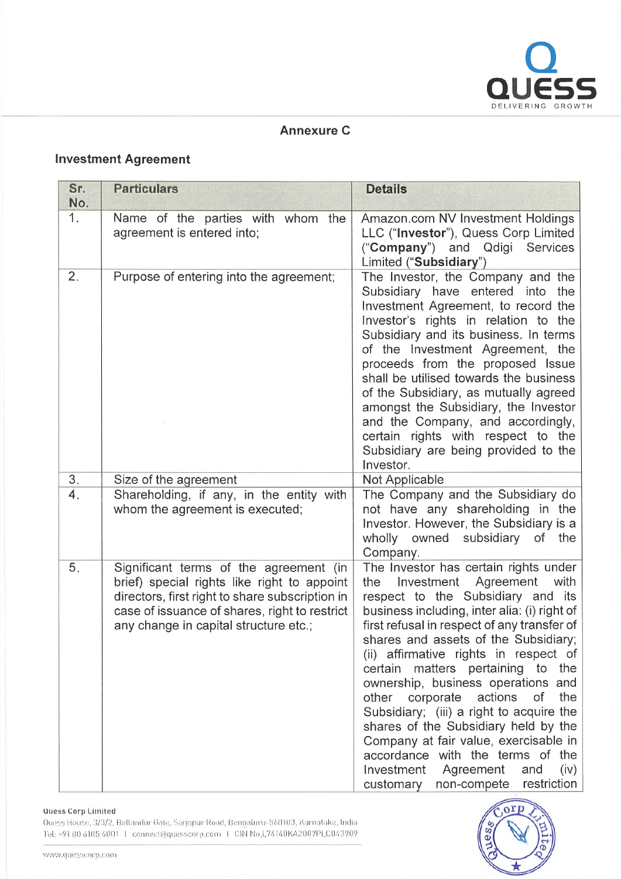

## Annexure C

# Investment Agreement

| Sr.<br>No. | <b>Particulars</b>                                                                                                                                                                                                                 | <b>Details</b>                                                                                                                                                                                                                                                                                                                                                                                                                                                                                                                                                                                                                                                                    |
|------------|------------------------------------------------------------------------------------------------------------------------------------------------------------------------------------------------------------------------------------|-----------------------------------------------------------------------------------------------------------------------------------------------------------------------------------------------------------------------------------------------------------------------------------------------------------------------------------------------------------------------------------------------------------------------------------------------------------------------------------------------------------------------------------------------------------------------------------------------------------------------------------------------------------------------------------|
| 1.         | Name of the parties with whom the<br>agreement is entered into;                                                                                                                                                                    | Amazon.com NV Investment Holdings<br>LLC ("Investor"), Quess Corp Limited<br>("Company") and Qdigi Services<br>Limited ("Subsidiary")                                                                                                                                                                                                                                                                                                                                                                                                                                                                                                                                             |
| 2.         | Purpose of entering into the agreement;                                                                                                                                                                                            | The Investor, the Company and the<br>Subsidiary have entered<br>into<br>the<br>Investment Agreement, to record the<br>Investor's rights in relation to the<br>Subsidiary and its business. In terms<br>of the Investment Agreement, the<br>proceeds from the proposed Issue<br>shall be utilised towards the business<br>of the Subsidiary, as mutually agreed<br>amongst the Subsidiary, the Investor<br>and the Company, and accordingly,<br>certain rights with respect to the<br>Subsidiary are being provided to the<br>Investor.                                                                                                                                            |
| 3.         | Size of the agreement                                                                                                                                                                                                              | Not Applicable                                                                                                                                                                                                                                                                                                                                                                                                                                                                                                                                                                                                                                                                    |
| 4.         | Shareholding, if any, in the entity with<br>whom the agreement is executed;                                                                                                                                                        | The Company and the Subsidiary do<br>not have any shareholding in the<br>Investor. However, the Subsidiary is a<br>wholly owned subsidiary<br>of the<br>Company.                                                                                                                                                                                                                                                                                                                                                                                                                                                                                                                  |
| 5.         | Significant terms of the agreement (in<br>brief) special rights like right to appoint<br>directors, first right to share subscription in<br>case of issuance of shares, right to restrict<br>any change in capital structure etc.; | The Investor has certain rights under<br>the Investment Agreement<br>with<br>respect to the Subsidiary and its<br>business including, inter alia: (i) right of<br>first refusal in respect of any transfer of<br>shares and assets of the Subsidiary;<br>(ii) affirmative rights in respect of<br>certain matters pertaining to the<br>ownership, business operations and<br>the<br>actions<br><b>of</b><br>other<br>corporate<br>Subsidiary; (iii) a right to acquire the<br>shares of the Subsidiary held by the<br>Company at fair value, exercisable in<br>accordance with the terms of the<br>Investment Agreement<br>(iv)<br>and<br>restriction<br>non-compete<br>customary |

#### Uuess Corp Limited

Quess House, 3/3/2, Bellandur Gate, Sarjapur Road, Bengaluru-560103, Karnataka, India Tel: +91 80 6105 6001 | connect@quesscorp.com | CIN No.L74140KA2007PLC043909